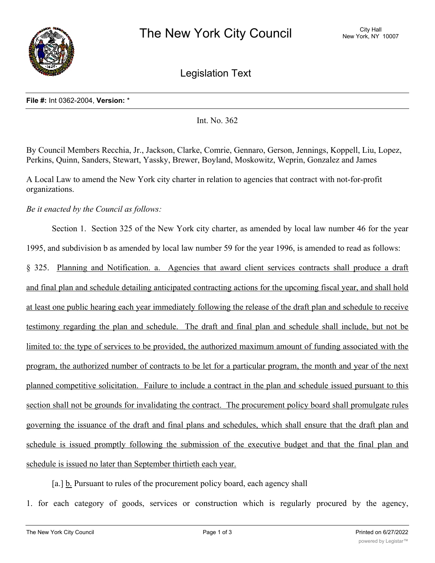

Legislation Text

## **File #:** Int 0362-2004, **Version:** \*

Int. No. 362

By Council Members Recchia, Jr., Jackson, Clarke, Comrie, Gennaro, Gerson, Jennings, Koppell, Liu, Lopez, Perkins, Quinn, Sanders, Stewart, Yassky, Brewer, Boyland, Moskowitz, Weprin, Gonzalez and James

A Local Law to amend the New York city charter in relation to agencies that contract with not-for-profit organizations.

*Be it enacted by the Council as follows:*

Section 1. Section 325 of the New York city charter, as amended by local law number 46 for the year 1995, and subdivision b as amended by local law number 59 for the year 1996, is amended to read as follows: § 325. Planning and Notification. a. Agencies that award client services contracts shall produce a draft and final plan and schedule detailing anticipated contracting actions for the upcoming fiscal year, and shall hold at least one public hearing each year immediately following the release of the draft plan and schedule to receive testimony regarding the plan and schedule. The draft and final plan and schedule shall include, but not be limited to: the type of services to be provided, the authorized maximum amount of funding associated with the program, the authorized number of contracts to be let for a particular program, the month and year of the next planned competitive solicitation. Failure to include a contract in the plan and schedule issued pursuant to this section shall not be grounds for invalidating the contract. The procurement policy board shall promulgate rules governing the issuance of the draft and final plans and schedules, which shall ensure that the draft plan and schedule is issued promptly following the submission of the executive budget and that the final plan and schedule is issued no later than September thirtieth each year.

[a.] b. Pursuant to rules of the procurement policy board, each agency shall

1. for each category of goods, services or construction which is regularly procured by the agency,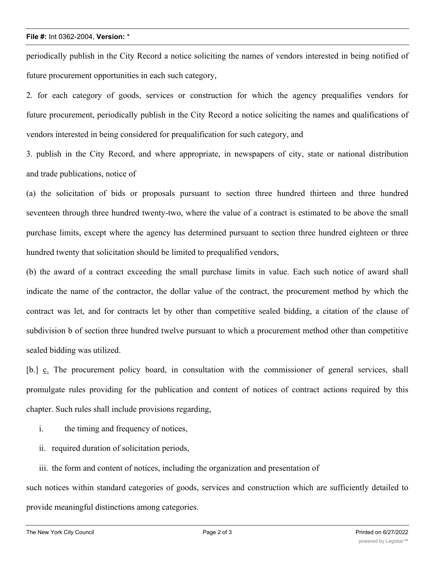## **File #:** Int 0362-2004, **Version:** \*

periodically publish in the City Record a notice soliciting the names of vendors interested in being notified of future procurement opportunities in each such category,

2. for each category of goods, services or construction for which the agency prequalifies vendors for future procurement, periodically publish in the City Record a notice soliciting the names and qualifications of vendors interested in being considered for prequalification for such category, and

3. publish in the City Record, and where appropriate, in newspapers of city, state or national distribution and trade publications, notice of

(a) the solicitation of bids or proposals pursuant to section three hundred thirteen and three hundred seventeen through three hundred twenty-two, where the value of a contract is estimated to be above the small purchase limits, except where the agency has determined pursuant to section three hundred eighteen or three hundred twenty that solicitation should be limited to prequalified vendors,

(b) the award of a contract exceeding the small purchase limits in value. Each such notice of award shall indicate the name of the contractor, the dollar value of the contract, the procurement method by which the contract was let, and for contracts let by other than competitive sealed bidding, a citation of the clause of subdivision b of section three hundred twelve pursuant to which a procurement method other than competitive sealed bidding was utilized.

[b.] c. The procurement policy board, in consultation with the commissioner of general services, shall promulgate rules providing for the publication and content of notices of contract actions required by this chapter. Such rules shall include provisions regarding,

- i. the timing and frequency of notices,
- ii. required duration of solicitation periods,

iii. the form and content of notices, including the organization and presentation of

such notices within standard categories of goods, services and construction which are sufficiently detailed to provide meaningful distinctions among categories.